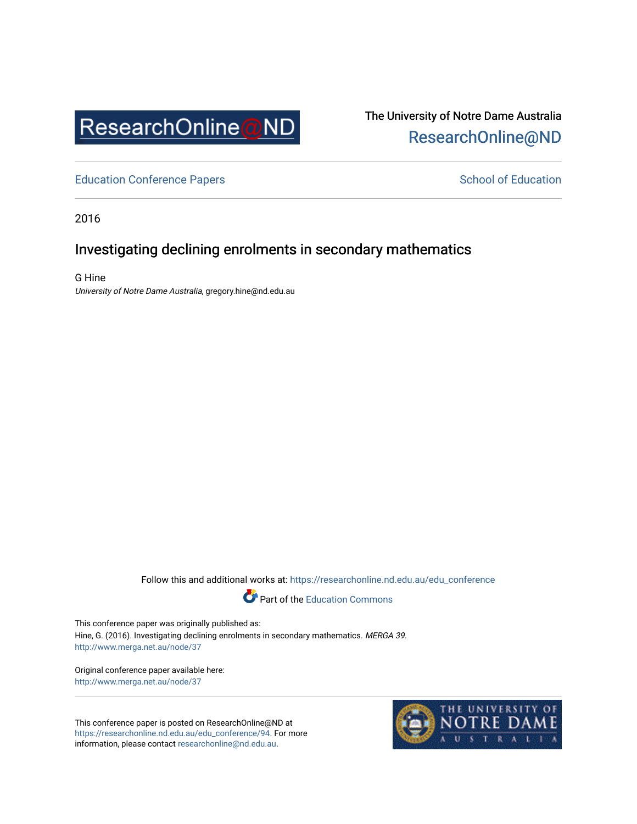

# The University of Notre Dame Australia [ResearchOnline@ND](https://researchonline.nd.edu.au/)

[Education Conference Papers](https://researchonline.nd.edu.au/edu_conference) **School of Education** School of Education

2016

# Investigating declining enrolments in secondary mathematics

G Hine University of Notre Dame Australia, gregory.hine@nd.edu.au

Follow this and additional works at: [https://researchonline.nd.edu.au/edu\\_conference](https://researchonline.nd.edu.au/edu_conference?utm_source=researchonline.nd.edu.au%2Fedu_conference%2F94&utm_medium=PDF&utm_campaign=PDFCoverPages)



This conference paper was originally published as: Hine, G. (2016). Investigating declining enrolments in secondary mathematics. MERGA 39. <http://www.merga.net.au/node/37>

Original conference paper available here: <http://www.merga.net.au/node/37>

This conference paper is posted on ResearchOnline@ND at [https://researchonline.nd.edu.au/edu\\_conference/94.](https://researchonline.nd.edu.au/edu_conference/94) For more information, please contact [researchonline@nd.edu.au.](mailto:researchonline@nd.edu.au)

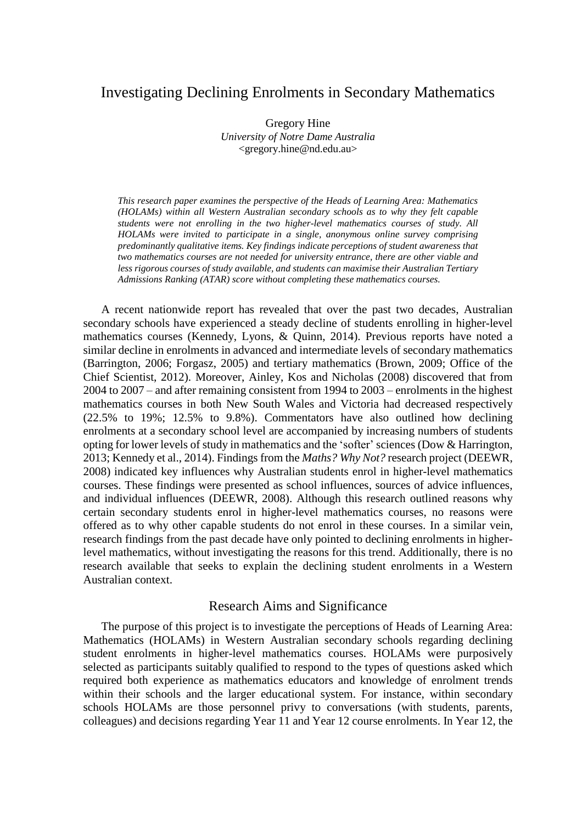# Investigating Declining Enrolments in Secondary Mathematics

Gregory Hine *University of Notre Dame Australia* <gregory.hine@nd.edu.au>

*This research paper examines the perspective of the Heads of Learning Area: Mathematics (HOLAMs) within all Western Australian secondary schools as to why they felt capable students were not enrolling in the two higher-level mathematics courses of study. All HOLAMs were invited to participate in a single, anonymous online survey comprising predominantly qualitative items. Key findings indicate perceptions of student awareness that two mathematics courses are not needed for university entrance, there are other viable and less rigorous courses of study available, and students can maximise their Australian Tertiary Admissions Ranking (ATAR) score without completing these mathematics courses.*

A recent nationwide report has revealed that over the past two decades, Australian secondary schools have experienced a steady decline of students enrolling in higher-level mathematics courses (Kennedy, Lyons, & Quinn, 2014). Previous reports have noted a similar decline in enrolments in advanced and intermediate levels of secondary mathematics (Barrington, 2006; Forgasz, 2005) and tertiary mathematics (Brown, 2009; Office of the Chief Scientist, 2012). Moreover, Ainley, Kos and Nicholas (2008) discovered that from 2004 to 2007 – and after remaining consistent from 1994 to 2003 – enrolments in the highest mathematics courses in both New South Wales and Victoria had decreased respectively (22.5% to 19%; 12.5% to 9.8%). Commentators have also outlined how declining enrolments at a secondary school level are accompanied by increasing numbers of students opting for lower levels of study in mathematics and the 'softer' sciences (Dow & Harrington, 2013; Kennedy et al., 2014). Findings from the *Maths? Why Not?* research project (DEEWR, 2008) indicated key influences why Australian students enrol in higher-level mathematics courses. These findings were presented as school influences, sources of advice influences, and individual influences (DEEWR, 2008). Although this research outlined reasons why certain secondary students enrol in higher-level mathematics courses, no reasons were offered as to why other capable students do not enrol in these courses. In a similar vein, research findings from the past decade have only pointed to declining enrolments in higherlevel mathematics, without investigating the reasons for this trend. Additionally, there is no research available that seeks to explain the declining student enrolments in a Western Australian context.

## Research Aims and Significance

The purpose of this project is to investigate the perceptions of Heads of Learning Area: Mathematics (HOLAMs) in Western Australian secondary schools regarding declining student enrolments in higher-level mathematics courses. HOLAMs were purposively selected as participants suitably qualified to respond to the types of questions asked which required both experience as mathematics educators and knowledge of enrolment trends within their schools and the larger educational system. For instance, within secondary schools HOLAMs are those personnel privy to conversations (with students, parents, colleagues) and decisions regarding Year 11 and Year 12 course enrolments. In Year 12, the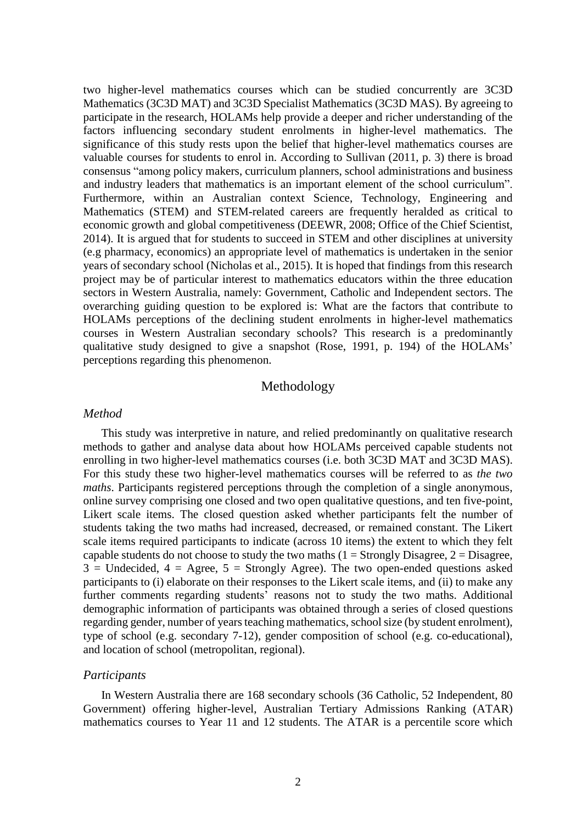two higher-level mathematics courses which can be studied concurrently are 3C3D Mathematics (3C3D MAT) and 3C3D Specialist Mathematics (3C3D MAS). By agreeing to participate in the research, HOLAMs help provide a deeper and richer understanding of the factors influencing secondary student enrolments in higher-level mathematics. The significance of this study rests upon the belief that higher-level mathematics courses are valuable courses for students to enrol in. According to Sullivan (2011, p. 3) there is broad consensus "among policy makers, curriculum planners, school administrations and business and industry leaders that mathematics is an important element of the school curriculum". Furthermore, within an Australian context Science, Technology, Engineering and Mathematics (STEM) and STEM-related careers are frequently heralded as critical to economic growth and global competitiveness (DEEWR, 2008; Office of the Chief Scientist, 2014). It is argued that for students to succeed in STEM and other disciplines at university (e.g pharmacy, economics) an appropriate level of mathematics is undertaken in the senior years of secondary school (Nicholas et al., 2015). It is hoped that findings from this research project may be of particular interest to mathematics educators within the three education sectors in Western Australia, namely: Government, Catholic and Independent sectors. The overarching guiding question to be explored is: What are the factors that contribute to HOLAMs perceptions of the declining student enrolments in higher-level mathematics courses in Western Australian secondary schools? This research is a predominantly qualitative study designed to give a snapshot (Rose, 1991, p. 194) of the HOLAMs' perceptions regarding this phenomenon.

## Methodology

#### *Method*

This study was interpretive in nature, and relied predominantly on qualitative research methods to gather and analyse data about how HOLAMs perceived capable students not enrolling in two higher-level mathematics courses (i.e. both 3C3D MAT and 3C3D MAS). For this study these two higher-level mathematics courses will be referred to as *the two maths*. Participants registered perceptions through the completion of a single anonymous, online survey comprising one closed and two open qualitative questions, and ten five-point, Likert scale items. The closed question asked whether participants felt the number of students taking the two maths had increased, decreased, or remained constant. The Likert scale items required participants to indicate (across 10 items) the extent to which they felt capable students do not choose to study the two maths  $(1 =$  Strongly Disagree,  $2 =$  Disagree,  $3$  = Undecided,  $4$  = Agree,  $5$  = Strongly Agree). The two open-ended questions asked participants to (i) elaborate on their responses to the Likert scale items, and (ii) to make any further comments regarding students' reasons not to study the two maths. Additional demographic information of participants was obtained through a series of closed questions regarding gender, number of years teaching mathematics, school size (by student enrolment), type of school (e.g. secondary 7-12), gender composition of school (e.g. co-educational), and location of school (metropolitan, regional).

#### *Participants*

In Western Australia there are 168 secondary schools (36 Catholic, 52 Independent, 80 Government) offering higher-level, Australian Tertiary Admissions Ranking (ATAR) mathematics courses to Year 11 and 12 students. The ATAR is a percentile score which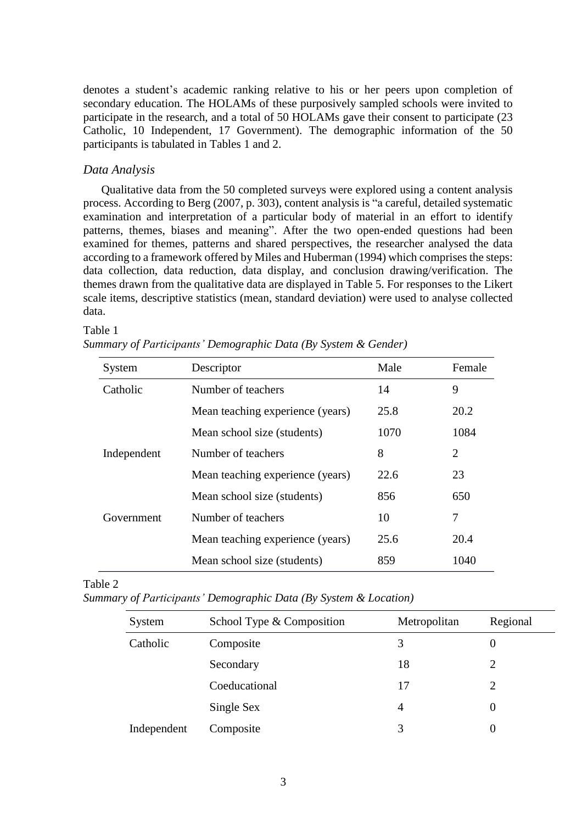denotes a student's academic ranking relative to his or her peers upon completion of secondary education. The HOLAMs of these purposively sampled schools were invited to participate in the research, and a total of 50 HOLAMs gave their consent to participate (23 Catholic, 10 Independent, 17 Government). The demographic information of the 50 participants is tabulated in Tables 1 and 2.

#### *Data Analysis*

Qualitative data from the 50 completed surveys were explored using a content analysis process. According to Berg (2007, p. 303), content analysis is "a careful, detailed systematic examination and interpretation of a particular body of material in an effort to identify patterns, themes, biases and meaning". After the two open-ended questions had been examined for themes, patterns and shared perspectives, the researcher analysed the data according to a framework offered by Miles and Huberman (1994) which comprises the steps: data collection, data reduction, data display, and conclusion drawing/verification. The themes drawn from the qualitative data are displayed in Table 5. For responses to the Likert scale items, descriptive statistics (mean, standard deviation) were used to analyse collected data.

#### Table 1

|  | Summary of Participants' Demographic Data (By System & Gender) |  |  |
|--|----------------------------------------------------------------|--|--|
|  |                                                                |  |  |

| System      | Descriptor                       | Male | Female         |
|-------------|----------------------------------|------|----------------|
| Catholic    | Number of teachers               | 14   | 9              |
|             | Mean teaching experience (years) | 25.8 | 20.2           |
|             | Mean school size (students)      | 1070 | 1084           |
| Independent | Number of teachers               | 8    | $\overline{2}$ |
|             | Mean teaching experience (years) | 22.6 | 23             |
|             | Mean school size (students)      | 856  | 650            |
| Government  | Number of teachers               | 10   | 7              |
|             | Mean teaching experience (years) | 25.6 | 20.4           |
|             | Mean school size (students)      | 859  | 1040           |

### Table 2

*Summary of Participants' Demographic Data (By System & Location)*

| System      | School Type & Composition | Metropolitan | Regional |
|-------------|---------------------------|--------------|----------|
| Catholic    | Composite                 | 3            | U        |
|             | Secondary                 | 18           |          |
|             | Coeducational             | 17           |          |
|             | Single Sex                | 4            | U        |
| Independent | Composite                 | 3            |          |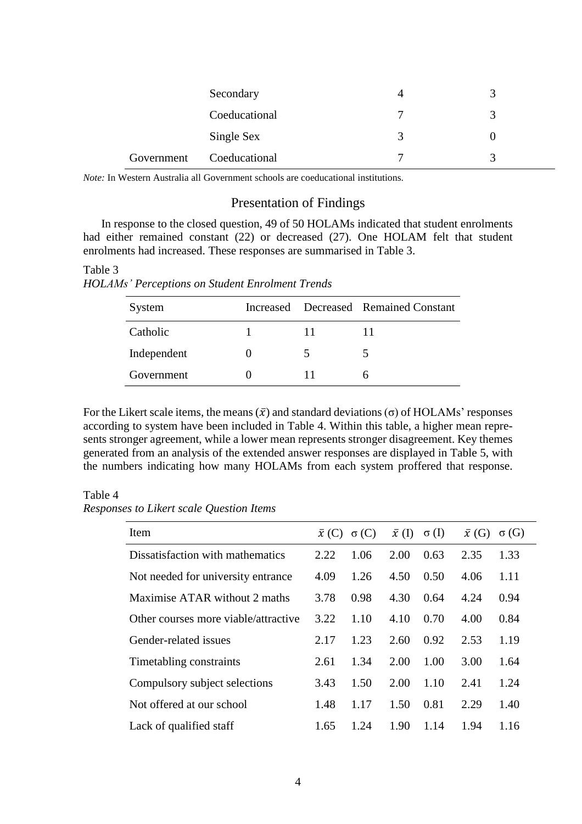|            | Secondary     | 4           |  |
|------------|---------------|-------------|--|
|            | Coeducational | π           |  |
|            | Single Sex    | $\mathbf 3$ |  |
| Government | Coeducational | π           |  |

*Note:* In Western Australia all Government schools are coeducational institutions.

# Presentation of Findings

In response to the closed question, 49 of 50 HOLAMs indicated that student enrolments had either remained constant (22) or decreased (27). One HOLAM felt that student enrolments had increased. These responses are summarised in Table 3.

Table 3 *HOLAMs' Perceptions on Student Enrolment Trends*

| System      |  | Increased Decreased Remained Constant |
|-------------|--|---------------------------------------|
| Catholic    |  |                                       |
| Independent |  |                                       |
| Government  |  | n                                     |

For the Likert scale items, the means  $(\bar{x})$  and standard deviations  $(\sigma)$  of HOLAMs' responses according to system have been included in Table 4. Within this table, a higher mean represents stronger agreement, while a lower mean represents stronger disagreement. Key themes generated from an analysis of the extended answer responses are displayed in Table 5, with the numbers indicating how many HOLAMs from each system proffered that response.

#### Table 4

*Responses to Likert scale Question Items*

| Item                                 |      | $\bar{x}(C) \sigma(C)$ | $\bar{x}$ (I) | $\sigma$ (I) | $\bar{x}$ (G) | $\sigma(G)$ |
|--------------------------------------|------|------------------------|---------------|--------------|---------------|-------------|
| Dissatisfaction with mathematics     | 2.22 | 1.06                   | 2.00          | 0.63         | 2.35          | 1.33        |
| Not needed for university entrance   | 4.09 | 1.26                   | 4.50          | 0.50         | 4.06          | 1.11        |
| Maximise ATAR without 2 maths        | 3.78 | 0.98                   | 4.30          | 0.64         | 4.24          | 0.94        |
| Other courses more viable/attractive | 3.22 | 1.10                   | 4.10          | 0.70         | 4.00          | 0.84        |
| Gender-related issues                | 2.17 | 1.23                   | 2.60          | 0.92         | 2.53          | 1.19        |
| Timetabling constraints              | 2.61 | 1.34                   | 2.00          | 1.00         | 3.00          | 1.64        |
| Compulsory subject selections        | 3.43 | 1.50                   | 2.00          | 1.10         | 2.41          | 1.24        |
| Not offered at our school            | 1.48 | 1.17                   | 1.50          | 0.81         | 2.29          | 1.40        |
| Lack of qualified staff              | 1.65 | 1.24                   | 1.90          | 1.14         | 1.94          | 1.16        |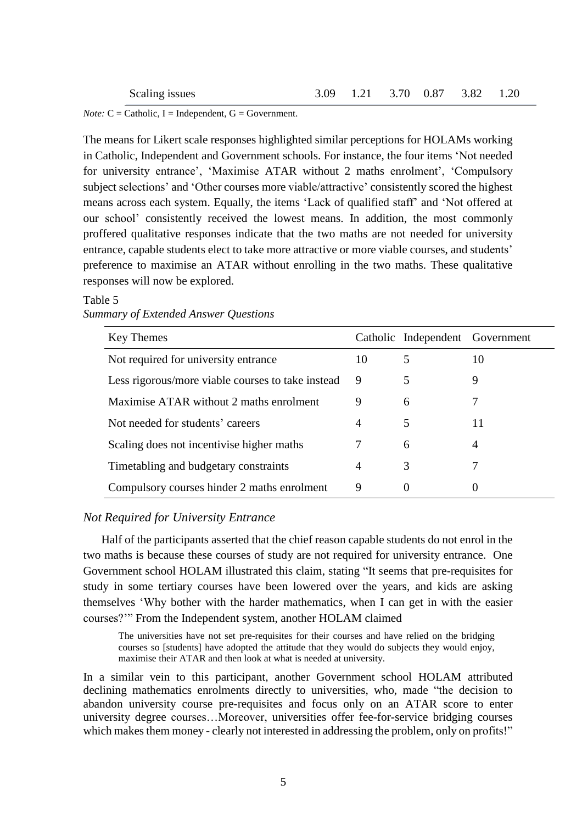|  |  | 3.09 1.21 3.70 0.87 3.82 1.20 |  |
|--|--|-------------------------------|--|
|  |  |                               |  |

*Note:*  $C =$  Catholic,  $I =$  Independent,  $G =$  Government.

Scaling issues

The means for Likert scale responses highlighted similar perceptions for HOLAMs working in Catholic, Independent and Government schools. For instance, the four items 'Not needed for university entrance', 'Maximise ATAR without 2 maths enrolment', 'Compulsory subject selections' and 'Other courses more viable/attractive' consistently scored the highest means across each system. Equally, the items 'Lack of qualified staff' and 'Not offered at our school' consistently received the lowest means. In addition, the most commonly proffered qualitative responses indicate that the two maths are not needed for university entrance, capable students elect to take more attractive or more viable courses, and students' preference to maximise an ATAR without enrolling in the two maths. These qualitative responses will now be explored.

## Table 5 *Summary of Extended Answer Questions*

| Key Themes                                        |    | Catholic Independent Government |    |
|---------------------------------------------------|----|---------------------------------|----|
| Not required for university entrance              | 10 | 5                               | 10 |
| Less rigorous/more viable courses to take instead | 9  | 5                               | 9  |
| Maximise ATAR without 2 maths enrolment           | 9  | 6                               |    |
| Not needed for students' careers                  | 4  | 5                               | 11 |
| Scaling does not incentivise higher maths         |    | 6                               | 4  |
| Timetabling and budgetary constraints             | 4  | 3                               |    |
| Compulsory courses hinder 2 maths enrolment       | 9  | $\theta$                        |    |

## *Not Required for University Entrance*

Half of the participants asserted that the chief reason capable students do not enrol in the two maths is because these courses of study are not required for university entrance. One Government school HOLAM illustrated this claim, stating "It seems that pre-requisites for study in some tertiary courses have been lowered over the years, and kids are asking themselves 'Why bother with the harder mathematics, when I can get in with the easier courses?'" From the Independent system, another HOLAM claimed

The universities have not set pre-requisites for their courses and have relied on the bridging courses so [students] have adopted the attitude that they would do subjects they would enjoy, maximise their ATAR and then look at what is needed at university.

In a similar vein to this participant, another Government school HOLAM attributed declining mathematics enrolments directly to universities, who, made "the decision to abandon university course pre-requisites and focus only on an ATAR score to enter university degree courses…Moreover, universities offer fee-for-service bridging courses which makes them money - clearly not interested in addressing the problem, only on profits!"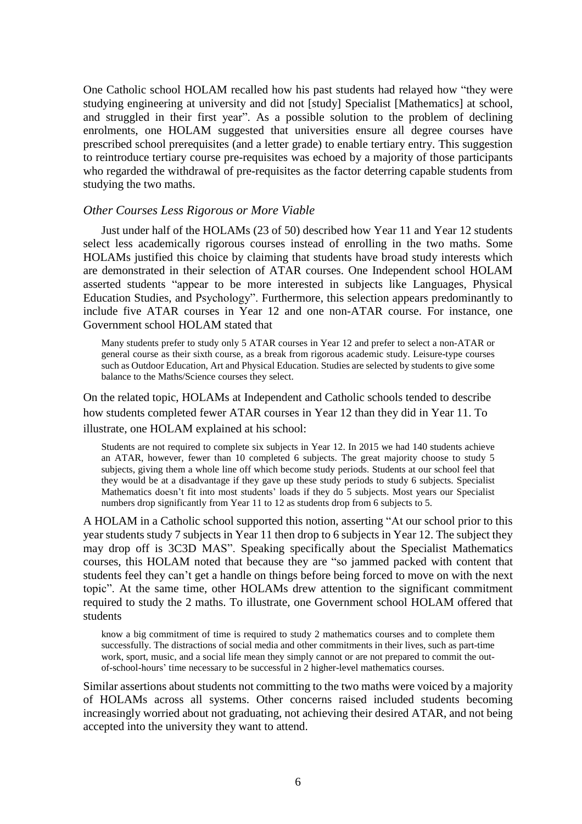One Catholic school HOLAM recalled how his past students had relayed how "they were studying engineering at university and did not [study] Specialist [Mathematics] at school, and struggled in their first year". As a possible solution to the problem of declining enrolments, one HOLAM suggested that universities ensure all degree courses have prescribed school prerequisites (and a letter grade) to enable tertiary entry. This suggestion to reintroduce tertiary course pre-requisites was echoed by a majority of those participants who regarded the withdrawal of pre-requisites as the factor deterring capable students from studying the two maths.

### *Other Courses Less Rigorous or More Viable*

Just under half of the HOLAMs (23 of 50) described how Year 11 and Year 12 students select less academically rigorous courses instead of enrolling in the two maths. Some HOLAMs justified this choice by claiming that students have broad study interests which are demonstrated in their selection of ATAR courses. One Independent school HOLAM asserted students "appear to be more interested in subjects like Languages, Physical Education Studies, and Psychology". Furthermore, this selection appears predominantly to include five ATAR courses in Year 12 and one non-ATAR course. For instance, one Government school HOLAM stated that

Many students prefer to study only 5 ATAR courses in Year 12 and prefer to select a non-ATAR or general course as their sixth course, as a break from rigorous academic study. Leisure-type courses such as Outdoor Education, Art and Physical Education. Studies are selected by students to give some balance to the Maths/Science courses they select.

On the related topic, HOLAMs at Independent and Catholic schools tended to describe how students completed fewer ATAR courses in Year 12 than they did in Year 11. To illustrate, one HOLAM explained at his school:

Students are not required to complete six subjects in Year 12. In 2015 we had 140 students achieve an ATAR, however, fewer than 10 completed 6 subjects. The great majority choose to study 5 subjects, giving them a whole line off which become study periods. Students at our school feel that they would be at a disadvantage if they gave up these study periods to study 6 subjects. Specialist Mathematics doesn't fit into most students' loads if they do 5 subjects. Most years our Specialist numbers drop significantly from Year 11 to 12 as students drop from 6 subjects to 5.

A HOLAM in a Catholic school supported this notion, asserting "At our school prior to this year students study 7 subjects in Year 11 then drop to 6 subjects in Year 12. The subject they may drop off is 3C3D MAS". Speaking specifically about the Specialist Mathematics courses, this HOLAM noted that because they are "so jammed packed with content that students feel they can't get a handle on things before being forced to move on with the next topic". At the same time, other HOLAMs drew attention to the significant commitment required to study the 2 maths. To illustrate, one Government school HOLAM offered that students

know a big commitment of time is required to study 2 mathematics courses and to complete them successfully. The distractions of social media and other commitments in their lives, such as part-time work, sport, music, and a social life mean they simply cannot or are not prepared to commit the outof-school-hours' time necessary to be successful in 2 higher-level mathematics courses.

Similar assertions about students not committing to the two maths were voiced by a majority of HOLAMs across all systems. Other concerns raised included students becoming increasingly worried about not graduating, not achieving their desired ATAR, and not being accepted into the university they want to attend.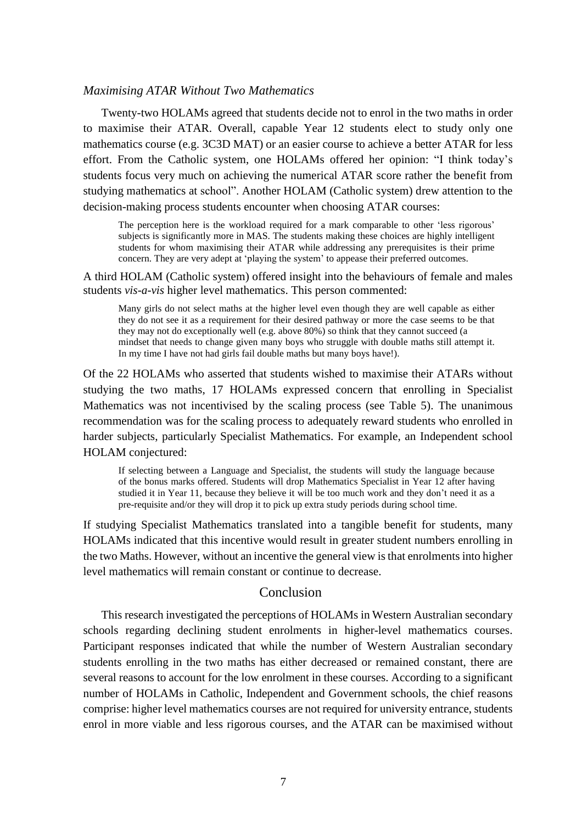### *Maximising ATAR Without Two Mathematics*

Twenty-two HOLAMs agreed that students decide not to enrol in the two maths in order to maximise their ATAR. Overall, capable Year 12 students elect to study only one mathematics course (e.g. 3C3D MAT) or an easier course to achieve a better ATAR for less effort. From the Catholic system, one HOLAMs offered her opinion: "I think today's students focus very much on achieving the numerical ATAR score rather the benefit from studying mathematics at school". Another HOLAM (Catholic system) drew attention to the decision-making process students encounter when choosing ATAR courses:

The perception here is the workload required for a mark comparable to other 'less rigorous' subjects is significantly more in MAS. The students making these choices are highly intelligent students for whom maximising their ATAR while addressing any prerequisites is their prime concern. They are very adept at 'playing the system' to appease their preferred outcomes.

A third HOLAM (Catholic system) offered insight into the behaviours of female and males students *vis-a-vis* higher level mathematics. This person commented:

Many girls do not select maths at the higher level even though they are well capable as either they do not see it as a requirement for their desired pathway or more the case seems to be that they may not do exceptionally well (e.g. above 80%) so think that they cannot succeed (a mindset that needs to change given many boys who struggle with double maths still attempt it. In my time I have not had girls fail double maths but many boys have!).

Of the 22 HOLAMs who asserted that students wished to maximise their ATARs without studying the two maths, 17 HOLAMs expressed concern that enrolling in Specialist Mathematics was not incentivised by the scaling process (see Table 5). The unanimous recommendation was for the scaling process to adequately reward students who enrolled in harder subjects, particularly Specialist Mathematics. For example, an Independent school HOLAM conjectured:

If selecting between a Language and Specialist, the students will study the language because of the bonus marks offered. Students will drop Mathematics Specialist in Year 12 after having studied it in Year 11, because they believe it will be too much work and they don't need it as a pre-requisite and/or they will drop it to pick up extra study periods during school time.

If studying Specialist Mathematics translated into a tangible benefit for students, many HOLAMs indicated that this incentive would result in greater student numbers enrolling in the two Maths. However, without an incentive the general view isthat enrolmentsinto higher level mathematics will remain constant or continue to decrease.

### Conclusion

This research investigated the perceptions of HOLAMs in Western Australian secondary schools regarding declining student enrolments in higher-level mathematics courses. Participant responses indicated that while the number of Western Australian secondary students enrolling in the two maths has either decreased or remained constant, there are several reasons to account for the low enrolment in these courses. According to a significant number of HOLAMs in Catholic, Independent and Government schools, the chief reasons comprise: higher level mathematics courses are not required for university entrance, students enrol in more viable and less rigorous courses, and the ATAR can be maximised without